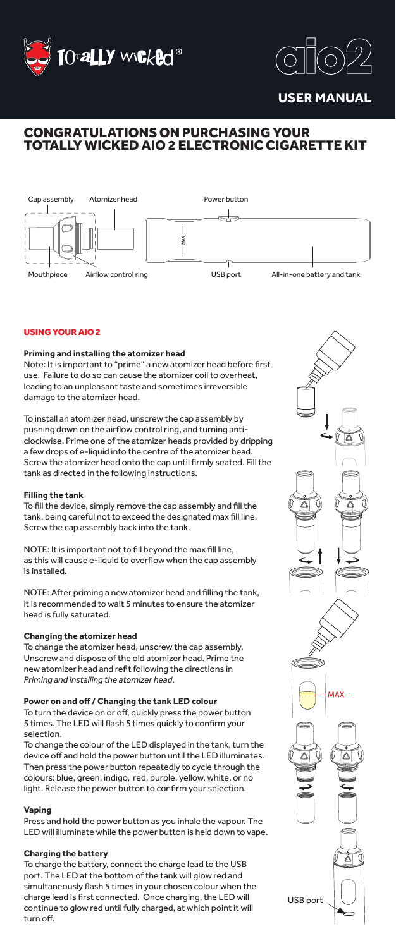



**USER MANUAL**

# CONGRATULATIONS ON PURCHASING YOUR TOTALLY WICKED AIO 2 ELECTRONIC CIGARETTE KIT



## USING YOUR AIO 2

## **Priming and installing the atomizer head**

Note: It is important to "prime" a new atomizer head before first use. Failure to do so can cause the atomizer coil to overheat, leading to an unpleasant taste and sometimes irreversible damage to the atomizer head.

To install an atomizer head, unscrew the cap assembly by pushing down on the airflow control ring, and turning anticlockwise. Prime one of the atomizer heads provided by dripping a few drops of e-liquid into the centre of the atomizer head. Screw the atomizer head onto the cap until firmly seated. Fill the tank as directed in the following instructions.

### **Filling the tank**

To fill the device, simply remove the cap assembly and fill the tank, being careful not to exceed the designated max fill line. Screw the cap assembly back into the tank.

NOTE: It is important not to fill beyond the max fill line, as this will cause e-liquid to overflow when the cap assembly is installed.

NOTE: After priming a new atomizer head and filling the tank, it is recommended to wait 5 minutes to ensure the atomizer head is fully saturated.

#### **Changing the atomizer head**

To change the atomizer head, unscrew the cap assembly. Unscrew and dispose of the old atomizer head. Prime the new atomizer head and refit following the directions in *Priming and installing the atomizer head*.

#### **Power on and off / Changing the tank LED colour**

To turn the device on or off, quickly press the power button 5 times. The LED will flash 5 times quickly to confirm your selection.

To change the colour of the LED displayed in the tank, turn the device off and hold the power button until the LED illuminates. Then press the power button repeatedly to cycle through the colours: blue, green, indigo, red, purple, yellow, white, or no light. Release the power button to confirm your selection.

## **Vaping**

Press and hold the power button as you inhale the vapour. The LED will illuminate while the power button is held down to vape.

## **Charging the battery**

To charge the battery, connect the charge lead to the USB port. The LED at the bottom of the tank will glow red and simultaneously flash 5 times in your chosen colour when the charge lead is first connected. Once charging, the LED will continue to glow red until fully charged, at which point it will turn off.